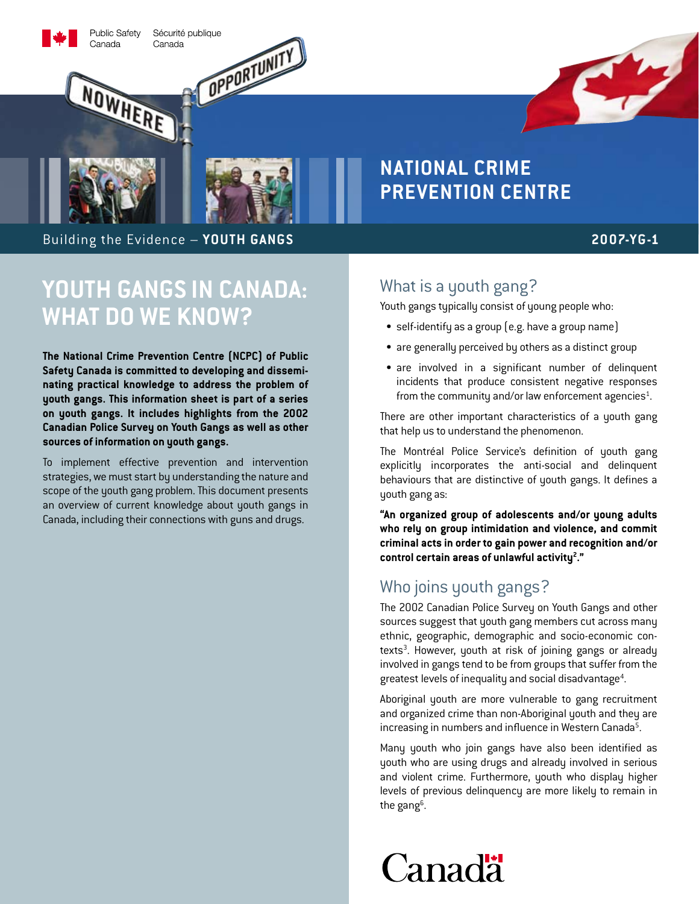

Building the Evidence – **Youth GangS**

# **Youth Gangs in Canada: What Do We Know?**

**The National Crime Prevention Centre (NCPC) of Public Safety Canada is committed to developing and disseminating practical knowledge to address the problem of youth gangs. This information sheet is part of a series on youth gangs. It includes highlights from the 2002 Canadian Police Survey on Youth Gangs as well as other sources of information on youth gangs.**

To implement effective prevention and intervention strategies, we must start by understanding the nature and scope of the youth gang problem. This document presents an overview of current knowledge about youth gangs in Canada, including their connections with guns and drugs.

## What is a youth gang?

Youth gangs typically consist of young people who:

- self-identify as a group (e.g. have a group name)
- are generally perceived by others as a distinct group
- are involved in a significant number of delinquent incidents that produce consistent negative responses from the community and/or law enforcement agencies<sup>1</sup>.

There are other important characteristics of a youth gang that help us to understand the phenomenon.

The Montréal Police Service's definition of youth gang explicitly incorporates the anti-social and delinquent behaviours that are distinctive of youth gangs. It defines a youth gang as:

**"An organized group of adolescents and/or young adults who rely on group intimidation and violence, and commit criminal acts in order to gain power and recognition and/or control certain areas of unlawful activity2."** 

## Who joins youth gangs?

The 2002 Canadian Police Survey on Youth Gangs and other sources suggest that youth gang members cut across many ethnic, geographic, demographic and socio-economic con $textes}$ <sup>3</sup>. However, youth at risk of joining gangs or already involved in gangs tend to be from groups that suffer from the greatest levels of inequality and social disadvantage<sup>4</sup>.

Aboriginal youth are more vulnerable to gang recruitment and organized crime than non-Aboriginal youth and they are increasing in numbers and influence in Western Canada<sup>5</sup>.

Many youth who join gangs have also been identified as youth who are using drugs and already involved in serious and violent crime. Furthermore, youth who display higher levels of previous delinquency are more likely to remain in the gang $6$ .

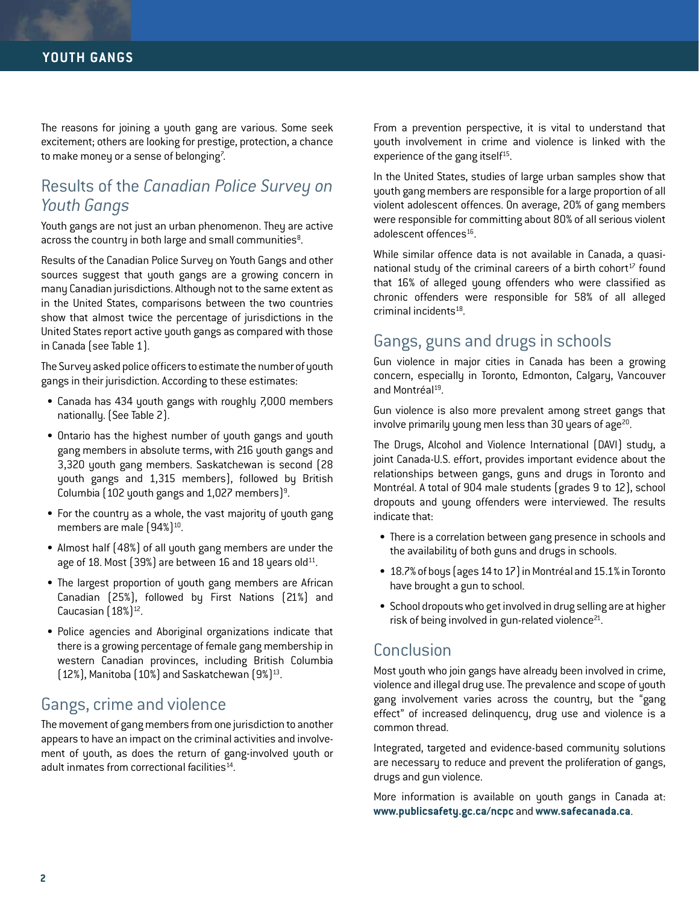The reasons for joining a youth gang are various. Some seek excitement; others are looking for prestige, protection, a chance to make money or a sense of belonging<sup>?</sup>.

#### Results of the *Canadian Police Survey on Youth Gangs*

Youth gangs are not just an urban phenomenon. They are active across the country in both large and small communities $^8$ .

Results of the Canadian Police Survey on Youth Gangs and other sources suggest that youth gangs are a growing concern in many Canadian jurisdictions. Although not to the same extent as in the United States, comparisons between the two countries show that almost twice the percentage of jurisdictions in the United States report active youth gangs as compared with those in Canada (see Table 1).

The Survey asked police officers to estimate the number of youth gangs in their jurisdiction. According to these estimates:

- Canada has 434 youth gangs with roughly 7,000 members nationally. (See Table 2).
- Ontario has the highest number of youth gangs and youth gang members in absolute terms, with 216 youth gangs and 3,320 youth gang members. Saskatchewan is second (28 youth gangs and 1,315 members), followed by British Columbia (102 youth gangs and 1,027 members)<sup>9</sup>.
- For the country as a whole, the vast majority of youth gang members are male  $(94\%)^{10}$ .
- Almost half (48%) of all youth gang members are under the age of 18. Most  $(39%)$  are between 16 and 18 years old<sup>11</sup>.
- The largest proportion of youth gang members are African Canadian (25%), followed by First Nations (21%) and Caucasian  $[18%]^{12}$ .
- Police agencies and Aboriginal organizations indicate that there is a growing percentage of female gang membership in western Canadian provinces, including British Columbia  $(12%)$ , Manitoba  $(10%)$  and Saskatchewan  $(9%)^{13}$ .

### Gangs, crime and violence

The movement of gang members from one jurisdiction to another appears to have an impact on the criminal activities and involvement of youth, as does the return of gang-involved youth or adult inmates from correctional facilities<sup>14</sup>.

From a prevention perspective, it is vital to understand that youth involvement in crime and violence is linked with the experience of the gang itself<sup>15</sup>.

In the United States, studies of large urban samples show that youth gang members are responsible for a large proportion of all violent adolescent offences. On average, 20% of gang members were responsible for committing about 80% of all serious violent adolescent offences<sup>16</sup>.

While similar offence data is not available in Canada, a quasinational study of the criminal careers of a birth cohort<sup>17</sup> found that 16% of alleged young offenders who were classified as chronic offenders were responsible for 58% of all alleged criminal incidents18.

### Gangs, guns and drugs in schools

Gun violence in major cities in Canada has been a growing concern, especially in Toronto, Edmonton, Calgary, Vancouver and Montréal<sup>19</sup>.

Gun violence is also more prevalent among street gangs that involve primarily young men less than 30 years of age<sup>20</sup>.

The Drugs, Alcohol and Violence International (DAVI) study, a joint Canada-U.S. effort, provides important evidence about the relationships between gangs, guns and drugs in Toronto and Montréal. A total of 904 male students (grades 9 to 12), school dropouts and young offenders were interviewed. The results indicate that:

- There is a correlation between gang presence in schools and the availability of both guns and drugs in schools.
- 18.7% of boys (ages 14 to 17) in Montréal and 15.1% in Toronto have brought a gun to school.
- School dropouts who get involved in drug selling are at higher risk of being involved in gun-related violence $^{21}$ .

#### Conclusion

Most youth who join gangs have already been involved in crime, violence and illegal drug use. The prevalence and scope of youth gang involvement varies across the country, but the "gang effect" of increased delinquency, drug use and violence is a common thread.

Integrated, targeted and evidence-based community solutions are necessary to reduce and prevent the proliferation of gangs, drugs and gun violence.

More information is available on youth gangs in Canada at: **www.publicsafety.gc.ca/ncpc** and **www.safecanada.ca**.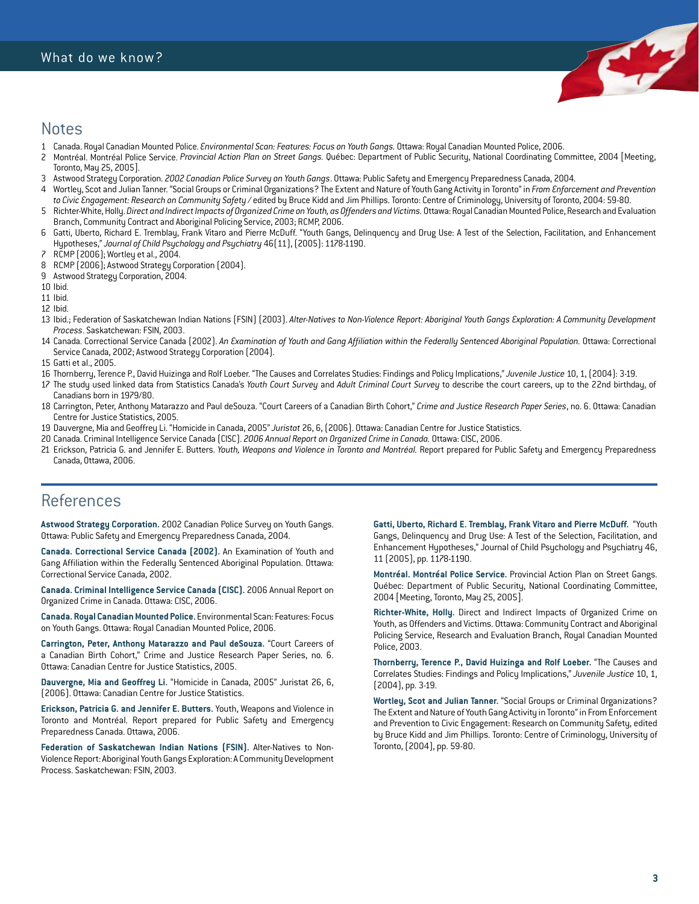

#### Notes

- 
- 1 Canada. Royal Canadian Mounted Police. *Environmental Scan: Features: Focus on Youth Gangs.* Ottawa: Royal Canadian Mounted Police, 2006. 2 Montréal. Montréal Police Service. *Provincial Action Plan on Street Gangs.* Québec: Department of Public Security, National Coordinating Committee, 2004 [Meeting, Toronto, May 25, 2005].
- 3 Astwood Strategy Corporation. *2002 Canadian Police Survey on Youth Gangs*. Ottawa: Public Safety and Emergency Preparedness Canada, 2004.
- 4 Wortley, Scot and Julian Tanner. "Social Groups or Criminal Organizations? The Extent and Nature of Youth Gang Activity in Toronto" in *From Enforcement and Prevention to Civic Engagement: Research on Community Safety /* edited by Bruce Kidd and Jim Phillips. Toronto: Centre of Criminology, University of Toronto, 2004: 59-80.
- 5 Richter-White, Holly. *Direct and Indirect Impacts of Organized Crime on Youth, as Offenders and Victims.* Ottawa: Royal Canadian Mounted Police, Research and Evaluation Branch, Community Contract and Aboriginal Policing Service, 2003; RCMP, 2006.
- 6 Gatti, Uberto, Richard E. Tremblay, Frank Vitaro and Pierre McDuff. "Youth Gangs, Delinquency and Drug Use: A Test of the Selection, Facilitation, and Enhancement Hypotheses," *Journal of Child Psychology and Psychiatry* 46(11), (2005): 1178-1190.
- 7 RCMP (2006); Wortley et al., 2004.
- 8 RCMP (2006); Astwood Strategy Corporation (2004).
- 9 Astwood Strategy Corporation, 2004.
- 10 Ibid.
- 11 Ibid.
- 12 Ibid.
- 13 Ibid.; Federation of Saskatchewan Indian Nations (FSIN) (2003). *Alter-Natives to Non-Violence Report: Aboriginal Youth Gangs Exploration: A Community Development Process*. Saskatchewan: FSIN, 2003.
- 14 Canada. Correctional Service Canada (2002). *An Examination of Youth and Gang Affiliation within the Federally Sentenced Aboriginal Population.* Ottawa: Correctional Service Canada, 2002; Astwood Strategy Corporation (2004).
- 15 Gatti et al., 2005.
- 16 Thornberry, Terence P., David Huizinga and Rolf Loeber. "The Causes and Correlates Studies: Findings and Policy Implications," *Juvenile Justice* 10, 1, (2004): 3-19.
- 17 The study used linked data from Statistics Canada's *Youth Court Survey* and *Adult Criminal Court Survey* to describe the court careers, up to the 22nd birthday, of Canadians born in 1979/80.
- 18 Carrington, Peter, Anthony Matarazzo and Paul deSouza. "Court Careers of a Canadian Birth Cohort," *Crime and Justice Research Paper Series*, no. 6. Ottawa: Canadian Centre for Justice Statistics, 2005.
- 19 Dauvergne, Mia and Geoffrey Li. "Homicide in Canada, 2005" *Juristat* 26, 6, (2006). Ottawa: Canadian Centre for Justice Statistics.
- 20 Canada. Criminal Intelligence Service Canada (CISC). *2006 Annual Report on Organized Crime in Canada.* Ottawa: CISC, 2006.
- 21 Erickson, Patricia G. and Jennifer E. Butters. *Youth, Weapons and Violence in Toronto and Montréal.* Report prepared for Public Safety and Emergency Preparedness Canada, Ottawa, 2006.

#### **References**

**Astwood Strategy Corporation.** 2002 Canadian Police Survey on Youth Gangs. Ottawa: Public Safety and Emergency Preparedness Canada, 2004.

**Canada. Correctional Service Canada (2002).** An Examination of Youth and Gang Affiliation within the Federally Sentenced Aboriginal Population. Ottawa: Correctional Service Canada, 2002.

**Canada. Criminal Intelligence Service Canada (CISC).** 2006 Annual Report on Organized Crime in Canada. Ottawa: CISC, 2006.

**Canada. Royal Canadian Mounted Police.** Environmental Scan: Features: Focus on Youth Gangs. Ottawa: Royal Canadian Mounted Police, 2006.

**Carrington, Peter, Anthony Matarazzo and Paul deSouza.** "Court Careers of a Canadian Birth Cohort," Crime and Justice Research Paper Series, no. 6. Ottawa: Canadian Centre for Justice Statistics, 2005.

**Dauvergne, Mia and Geoffrey Li.** "Homicide in Canada, 2005" Juristat 26, 6, (2006). Ottawa: Canadian Centre for Justice Statistics.

**Erickson, Patricia G. and Jennifer E. Butters.** Youth, Weapons and Violence in Toronto and Montréal. Report prepared for Public Safety and Emergency Preparedness Canada. Ottawa, 2006.

**Federation of Saskatchewan Indian Nations (FSIN).** Alter-Natives to Non-Violence Report: Aboriginal Youth Gangs Exploration: A Community Development Process. Saskatchewan: FSIN, 2003.

**Gatti, Uberto, Richard E. Tremblay, Frank Vitaro and Pierre McDuff.** "Youth Gangs, Delinquency and Drug Use: A Test of the Selection, Facilitation, and Enhancement Hypotheses," Journal of Child Psychology and Psychiatry 46, 11 (2005), pp. 1178-1190.

**Montréal. Montréal Police Service.** Provincial Action Plan on Street Gangs. Québec: Department of Public Security, National Coordinating Committee, 2004 [Meeting, Toronto, May 25, 2005].

**Richter-White, Holly.** Direct and Indirect Impacts of Organized Crime on Youth, as Offenders and Victims. Ottawa: Community Contract and Aboriginal Policing Service, Research and Evaluation Branch, Royal Canadian Mounted Police, 2003.

**Thornberry, Terence P., David Huizinga and Rolf Loeber.** "The Causes and Correlates Studies: Findings and Policy Implications," *Juvenile Justice* 10, 1, (2004), pp. 3-19.

**Wortley, Scot and Julian Tanner.** "Social Groups or Criminal Organizations? The Extent and Nature of Youth Gang Activity in Toronto" in From Enforcement and Prevention to Civic Engagement: Research on Community Safety, edited by Bruce Kidd and Jim Phillips. Toronto: Centre of Criminology, University of Toronto, (2004), pp. 59-80.